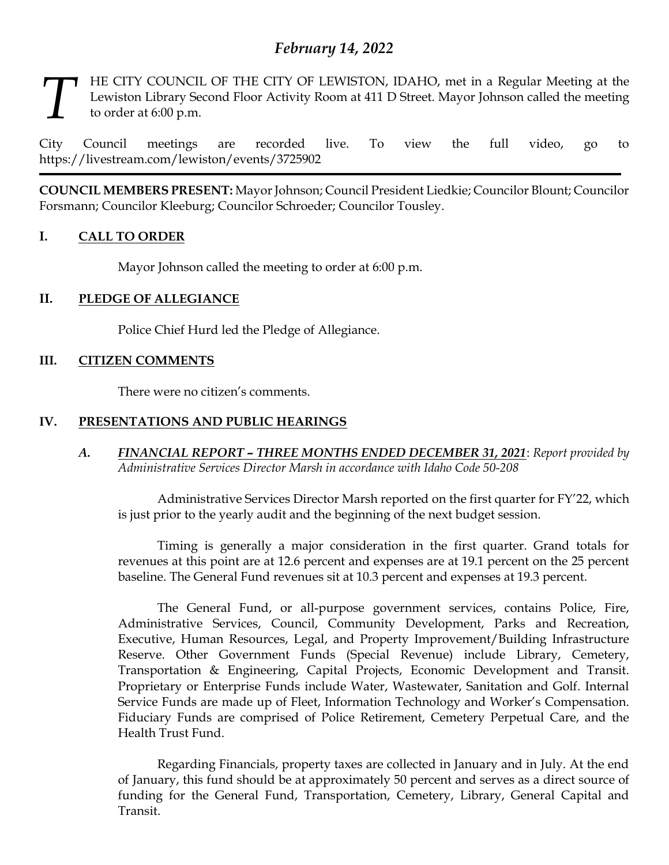# *February 14, 2022*

HE CITY COUNCIL OF THE CITY OF LEWISTON, IDAHO, met in a Regular Meeting at the Lewiston Library Second Floor Activity Room at 411 D Street. Mayor Johnson called the meeting to order at 6:00 p.m. *T*

City Council meetings are recorded live. To view the full video, go to https://livestream.com/lewiston/events/3725902

**COUNCIL MEMBERS PRESENT:** Mayor Johnson; Council President Liedkie; Councilor Blount; Councilor Forsmann; Councilor Kleeburg; Councilor Schroeder; Councilor Tousley.

# **I. CALL TO ORDER**

Mayor Johnson called the meeting to order at 6:00 p.m.

# **II. PLEDGE OF ALLEGIANCE**

Police Chief Hurd led the Pledge of Allegiance.

# **III. CITIZEN COMMENTS**

There were no citizen's comments.

# **IV. PRESENTATIONS AND PUBLIC HEARINGS**

*A. FINANCIAL REPORT – THREE MONTHS ENDED DECEMBER 31, 2021*: *Report provided by Administrative Services Director Marsh in accordance with Idaho Code 50-208*

Administrative Services Director Marsh reported on the first quarter for FY'22, which is just prior to the yearly audit and the beginning of the next budget session.

Timing is generally a major consideration in the first quarter. Grand totals for revenues at this point are at 12.6 percent and expenses are at 19.1 percent on the 25 percent baseline. The General Fund revenues sit at 10.3 percent and expenses at 19.3 percent.

The General Fund, or all-purpose government services, contains Police, Fire, Administrative Services, Council, Community Development, Parks and Recreation, Executive, Human Resources, Legal, and Property Improvement/Building Infrastructure Reserve. Other Government Funds (Special Revenue) include Library, Cemetery, Transportation & Engineering, Capital Projects, Economic Development and Transit. Proprietary or Enterprise Funds include Water, Wastewater, Sanitation and Golf. Internal Service Funds are made up of Fleet, Information Technology and Worker's Compensation. Fiduciary Funds are comprised of Police Retirement, Cemetery Perpetual Care, and the Health Trust Fund.

Regarding Financials, property taxes are collected in January and in July. At the end of January, this fund should be at approximately 50 percent and serves as a direct source of funding for the General Fund, Transportation, Cemetery, Library, General Capital and Transit.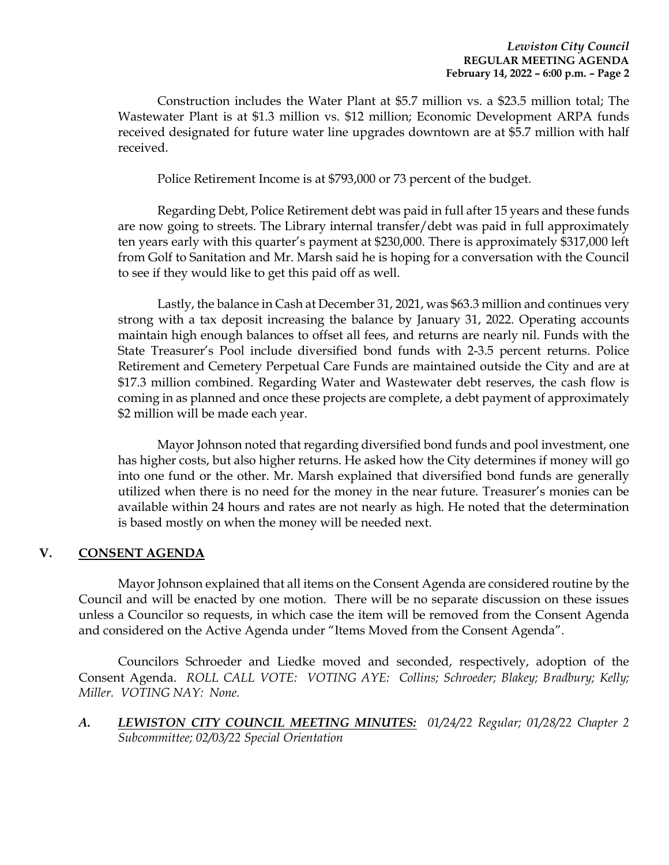Construction includes the Water Plant at \$5.7 million vs. a \$23.5 million total; The Wastewater Plant is at \$1.3 million vs. \$12 million; Economic Development ARPA funds received designated for future water line upgrades downtown are at \$5.7 million with half received.

Police Retirement Income is at \$793,000 or 73 percent of the budget.

Regarding Debt, Police Retirement debt was paid in full after 15 years and these funds are now going to streets. The Library internal transfer/debt was paid in full approximately ten years early with this quarter's payment at \$230,000. There is approximately \$317,000 left from Golf to Sanitation and Mr. Marsh said he is hoping for a conversation with the Council to see if they would like to get this paid off as well.

Lastly, the balance in Cash at December 31, 2021, was \$63.3 million and continues very strong with a tax deposit increasing the balance by January 31, 2022. Operating accounts maintain high enough balances to offset all fees, and returns are nearly nil. Funds with the State Treasurer's Pool include diversified bond funds with 2-3.5 percent returns. Police Retirement and Cemetery Perpetual Care Funds are maintained outside the City and are at \$17.3 million combined. Regarding Water and Wastewater debt reserves, the cash flow is coming in as planned and once these projects are complete, a debt payment of approximately \$2 million will be made each year.

Mayor Johnson noted that regarding diversified bond funds and pool investment, one has higher costs, but also higher returns. He asked how the City determines if money will go into one fund or the other. Mr. Marsh explained that diversified bond funds are generally utilized when there is no need for the money in the near future. Treasurer's monies can be available within 24 hours and rates are not nearly as high. He noted that the determination is based mostly on when the money will be needed next.

# **V. CONSENT AGENDA**

Mayor Johnson explained that all items on the Consent Agenda are considered routine by the Council and will be enacted by one motion. There will be no separate discussion on these issues unless a Councilor so requests, in which case the item will be removed from the Consent Agenda and considered on the Active Agenda under "Items Moved from the Consent Agenda".

Councilors Schroeder and Liedke moved and seconded, respectively, adoption of the Consent Agenda. *ROLL CALL VOTE: VOTING AYE: Collins; Schroeder; Blakey; Bradbury; Kelly; Miller. VOTING NAY: None.* 

*A. LEWISTON CITY COUNCIL MEETING MINUTES: 01/24/22 Regular; 01/28/22 Chapter 2 Subcommittee; 02/03/22 Special Orientation*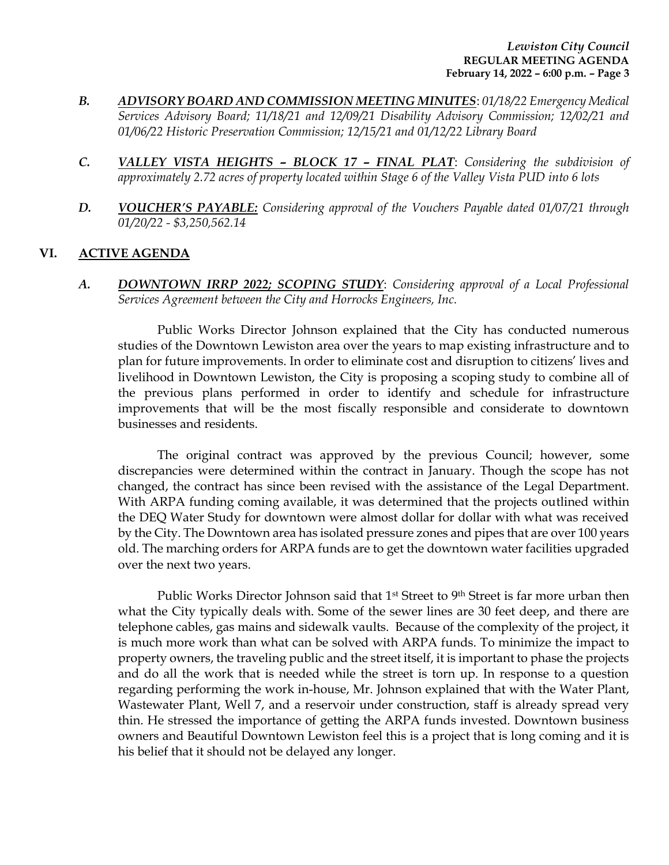- *B. ADVISORY BOARD AND COMMISSION MEETING MINUTES*: *01/18/22 Emergency Medical Services Advisory Board; 11/18/21 and 12/09/21 Disability Advisory Commission; 12/02/21 and 01/06/22 Historic Preservation Commission; 12/15/21 and 01/12/22 Library Board*
- *C. VALLEY VISTA HEIGHTS – BLOCK 17 – FINAL PLAT*: *Considering the subdivision of approximately 2.72 acres of property located within Stage 6 of the Valley Vista PUD into 6 lots*
- *D. VOUCHER'S PAYABLE: Considering approval of the Vouchers Payable dated 01/07/21 through 01/20/22 - \$3,250,562.14*

# **VI. ACTIVE AGENDA**

*A. DOWNTOWN IRRP 2022; SCOPING STUDY*: *Considering approval of a Local Professional Services Agreement between the City and Horrocks Engineers, Inc.* 

Public Works Director Johnson explained that the City has conducted numerous studies of the Downtown Lewiston area over the years to map existing infrastructure and to plan for future improvements. In order to eliminate cost and disruption to citizens' lives and livelihood in Downtown Lewiston, the City is proposing a scoping study to combine all of the previous plans performed in order to identify and schedule for infrastructure improvements that will be the most fiscally responsible and considerate to downtown businesses and residents.

The original contract was approved by the previous Council; however, some discrepancies were determined within the contract in January. Though the scope has not changed, the contract has since been revised with the assistance of the Legal Department. With ARPA funding coming available, it was determined that the projects outlined within the DEQ Water Study for downtown were almost dollar for dollar with what was received by the City. The Downtown area has isolated pressure zones and pipes that are over 100 years old. The marching orders for ARPA funds are to get the downtown water facilities upgraded over the next two years.

Public Works Director Johnson said that 1<sup>st</sup> Street to 9<sup>th</sup> Street is far more urban then what the City typically deals with. Some of the sewer lines are 30 feet deep, and there are telephone cables, gas mains and sidewalk vaults. Because of the complexity of the project, it is much more work than what can be solved with ARPA funds. To minimize the impact to property owners, the traveling public and the street itself, it is important to phase the projects and do all the work that is needed while the street is torn up. In response to a question regarding performing the work in-house, Mr. Johnson explained that with the Water Plant, Wastewater Plant, Well 7, and a reservoir under construction, staff is already spread very thin. He stressed the importance of getting the ARPA funds invested. Downtown business owners and Beautiful Downtown Lewiston feel this is a project that is long coming and it is his belief that it should not be delayed any longer.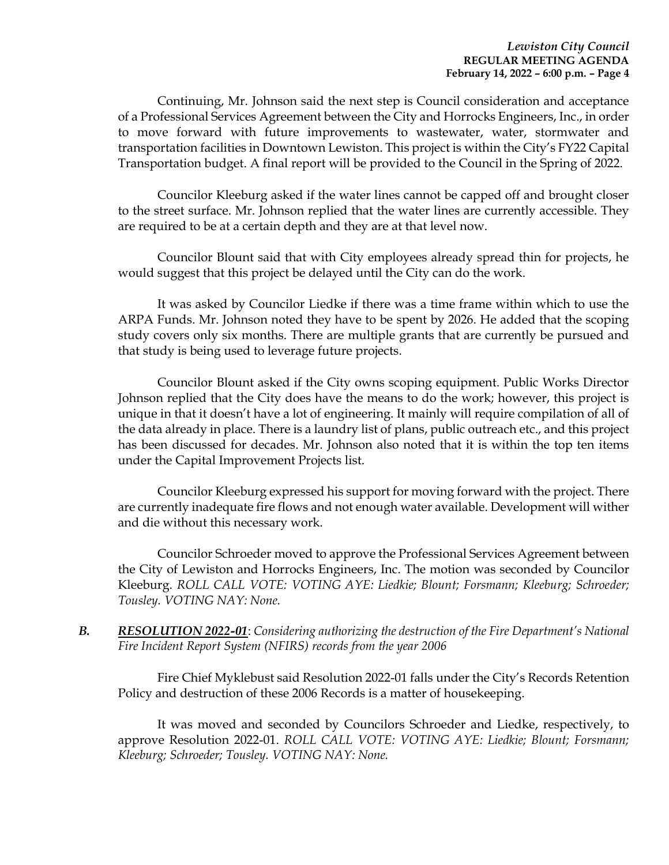Continuing, Mr. Johnson said the next step is Council consideration and acceptance of a Professional Services Agreement between the City and Horrocks Engineers, Inc., in order to move forward with future improvements to wastewater, water, stormwater and transportation facilities in Downtown Lewiston. This project is within the City's FY22 Capital Transportation budget. A final report will be provided to the Council in the Spring of 2022.

Councilor Kleeburg asked if the water lines cannot be capped off and brought closer to the street surface. Mr. Johnson replied that the water lines are currently accessible. They are required to be at a certain depth and they are at that level now.

Councilor Blount said that with City employees already spread thin for projects, he would suggest that this project be delayed until the City can do the work.

It was asked by Councilor Liedke if there was a time frame within which to use the ARPA Funds. Mr. Johnson noted they have to be spent by 2026. He added that the scoping study covers only six months. There are multiple grants that are currently be pursued and that study is being used to leverage future projects.

Councilor Blount asked if the City owns scoping equipment. Public Works Director Johnson replied that the City does have the means to do the work; however, this project is unique in that it doesn't have a lot of engineering. It mainly will require compilation of all of the data already in place. There is a laundry list of plans, public outreach etc., and this project has been discussed for decades. Mr. Johnson also noted that it is within the top ten items under the Capital Improvement Projects list.

Councilor Kleeburg expressed his support for moving forward with the project. There are currently inadequate fire flows and not enough water available. Development will wither and die without this necessary work.

Councilor Schroeder moved to approve the Professional Services Agreement between the City of Lewiston and Horrocks Engineers, Inc. The motion was seconded by Councilor Kleeburg. *ROLL CALL VOTE: VOTING AYE: Liedkie; Blount; Forsmann; Kleeburg; Schroeder; Tousley. VOTING NAY: None.*

*B. RESOLUTION 2022-01*: *Considering authorizing the destruction of the Fire Department's National Fire Incident Report System (NFIRS) records from the year 2006*

Fire Chief Myklebust said Resolution 2022-01 falls under the City's Records Retention Policy and destruction of these 2006 Records is a matter of housekeeping.

It was moved and seconded by Councilors Schroeder and Liedke, respectively, to approve Resolution 2022-01. *ROLL CALL VOTE: VOTING AYE: Liedkie; Blount; Forsmann; Kleeburg; Schroeder; Tousley. VOTING NAY: None.*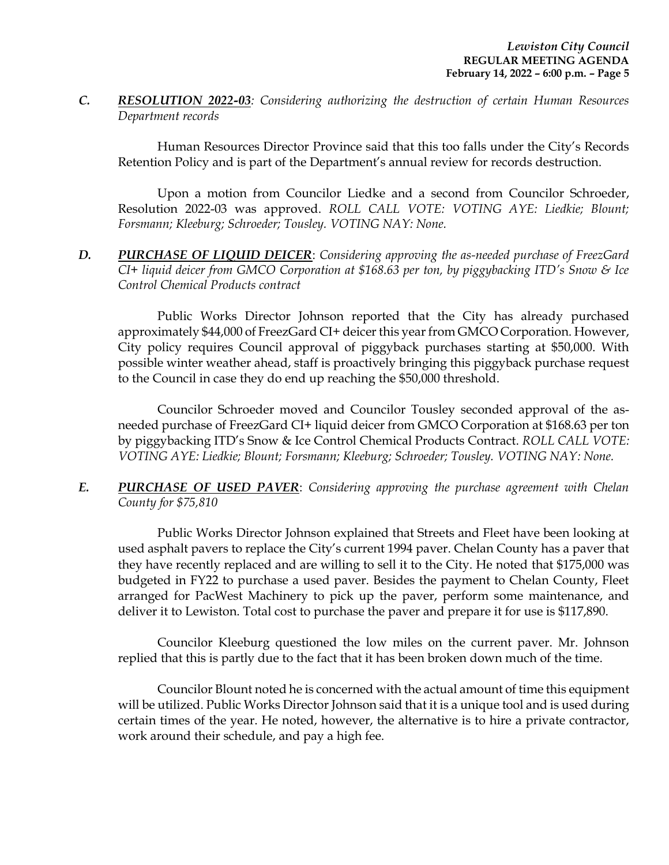*C. RESOLUTION 2022-03: Considering authorizing the destruction of certain Human Resources Department records* 

Human Resources Director Province said that this too falls under the City's Records Retention Policy and is part of the Department's annual review for records destruction.

Upon a motion from Councilor Liedke and a second from Councilor Schroeder, Resolution 2022-03 was approved. *ROLL CALL VOTE: VOTING AYE: Liedkie; Blount; Forsmann; Kleeburg; Schroeder; Tousley. VOTING NAY: None.* 

*D. PURCHASE OF LIQUID DEICER*: *Considering approving the as-needed purchase of FreezGard CI+ liquid deicer from GMCO Corporation at \$168.63 per ton, by piggybacking ITD's Snow & Ice Control Chemical Products contract* 

Public Works Director Johnson reported that the City has already purchased approximately \$44,000 of FreezGard CI+ deicer this year from GMCO Corporation. However, City policy requires Council approval of piggyback purchases starting at \$50,000. With possible winter weather ahead, staff is proactively bringing this piggyback purchase request to the Council in case they do end up reaching the \$50,000 threshold.

Councilor Schroeder moved and Councilor Tousley seconded approval of the asneeded purchase of FreezGard CI+ liquid deicer from GMCO Corporation at \$168.63 per ton by piggybacking ITD's Snow & Ice Control Chemical Products Contract. *ROLL CALL VOTE: VOTING AYE: Liedkie; Blount; Forsmann; Kleeburg; Schroeder; Tousley. VOTING NAY: None.* 

*E. PURCHASE OF USED PAVER*: *Considering approving the purchase agreement with Chelan County for \$75,810*

Public Works Director Johnson explained that Streets and Fleet have been looking at used asphalt pavers to replace the City's current 1994 paver. Chelan County has a paver that they have recently replaced and are willing to sell it to the City. He noted that \$175,000 was budgeted in FY22 to purchase a used paver. Besides the payment to Chelan County, Fleet arranged for PacWest Machinery to pick up the paver, perform some maintenance, and deliver it to Lewiston. Total cost to purchase the paver and prepare it for use is \$117,890.

Councilor Kleeburg questioned the low miles on the current paver. Mr. Johnson replied that this is partly due to the fact that it has been broken down much of the time.

Councilor Blount noted he is concerned with the actual amount of time this equipment will be utilized. Public Works Director Johnson said that it is a unique tool and is used during certain times of the year. He noted, however, the alternative is to hire a private contractor, work around their schedule, and pay a high fee.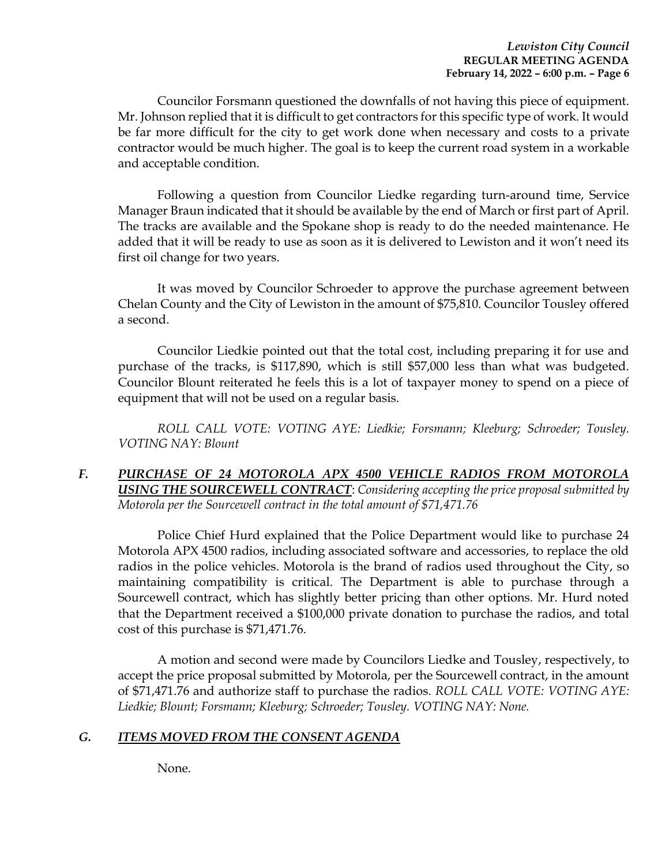Councilor Forsmann questioned the downfalls of not having this piece of equipment. Mr. Johnson replied that it is difficult to get contractors for this specific type of work. It would be far more difficult for the city to get work done when necessary and costs to a private contractor would be much higher. The goal is to keep the current road system in a workable and acceptable condition.

Following a question from Councilor Liedke regarding turn-around time, Service Manager Braun indicated that it should be available by the end of March or first part of April. The tracks are available and the Spokane shop is ready to do the needed maintenance. He added that it will be ready to use as soon as it is delivered to Lewiston and it won't need its first oil change for two years.

It was moved by Councilor Schroeder to approve the purchase agreement between Chelan County and the City of Lewiston in the amount of \$75,810. Councilor Tousley offered a second.

Councilor Liedkie pointed out that the total cost, including preparing it for use and purchase of the tracks, is \$117,890, which is still \$57,000 less than what was budgeted. Councilor Blount reiterated he feels this is a lot of taxpayer money to spend on a piece of equipment that will not be used on a regular basis.

*ROLL CALL VOTE: VOTING AYE: Liedkie; Forsmann; Kleeburg; Schroeder; Tousley. VOTING NAY: Blount*

*F. PURCHASE OF 24 MOTOROLA APX 4500 VEHICLE RADIOS FROM MOTOROLA USING THE SOURCEWELL CONTRACT*: *Considering accepting the price proposal submitted by Motorola per the Sourcewell contract in the total amount of \$71,471.76*

Police Chief Hurd explained that the Police Department would like to purchase 24 Motorola APX 4500 radios, including associated software and accessories, to replace the old radios in the police vehicles. Motorola is the brand of radios used throughout the City, so maintaining compatibility is critical. The Department is able to purchase through a Sourcewell contract, which has slightly better pricing than other options. Mr. Hurd noted that the Department received a \$100,000 private donation to purchase the radios, and total cost of this purchase is \$71,471.76.

A motion and second were made by Councilors Liedke and Tousley, respectively, to accept the price proposal submitted by Motorola, per the Sourcewell contract, in the amount of \$71,471.76 and authorize staff to purchase the radios. *ROLL CALL VOTE: VOTING AYE: Liedkie; Blount; Forsmann; Kleeburg; Schroeder; Tousley. VOTING NAY: None.* 

# *G. ITEMS MOVED FROM THE CONSENT AGENDA*

None.